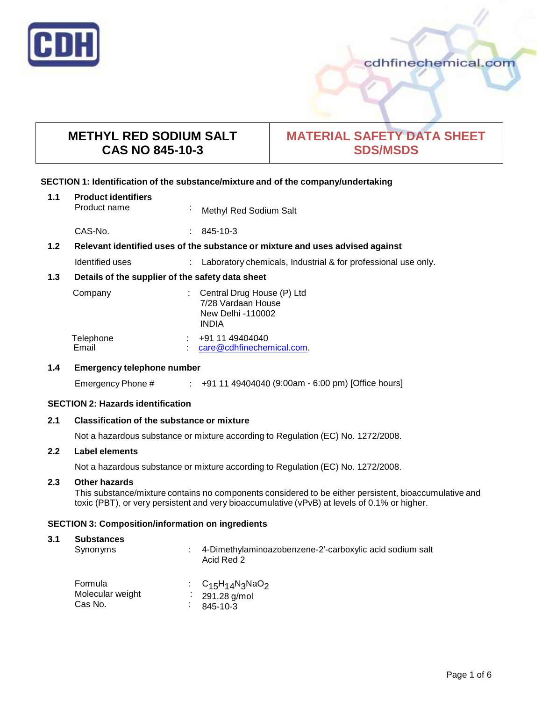

# cdhfinechemical.com

# **METHYL RED SODIUM SALT CAS NO 845-10-3**

# **MATERIAL SAFETY DATA SHEET SDS/MSDS**

# **SECTION 1: Identification of the substance/mixture and of the company/undertaking**

| 1.1              | <b>Product identifiers</b><br>Product name                                    | $\mathbf{r}$ | Methyl Red Sodium Salt                                                                |
|------------------|-------------------------------------------------------------------------------|--------------|---------------------------------------------------------------------------------------|
|                  | CAS-No.                                                                       | ÷.           | 845-10-3                                                                              |
| 1.2 <sub>2</sub> | Relevant identified uses of the substance or mixture and uses advised against |              |                                                                                       |
|                  | Identified uses                                                               |              | Laboratory chemicals, Industrial & for professional use only.                         |
| 1.3              | Details of the supplier of the safety data sheet                              |              |                                                                                       |
|                  | Company                                                                       |              | Central Drug House (P) Ltd<br>7/28 Vardaan House<br>New Delhi -110002<br><b>INDIA</b> |
|                  | Telephone<br>Email                                                            |              | +91 11 49404040<br>care@cdhfinechemical.com.                                          |

# **1.4 Emergency telephone number**

Emergency Phone # : +91 11 49404040 (9:00am - 6:00 pm) [Office hours]

# **SECTION 2: Hazards identification**

# **2.1 Classification of the substance ormixture**

Not a hazardous substance or mixture according to Regulation (EC) No. 1272/2008.

# **2.2 Label elements**

Not a hazardous substance or mixture according to Regulation (EC) No. 1272/2008.

# **2.3 Other hazards**

This substance/mixture contains no components considered to be either persistent, bioaccumulative and toxic (PBT), or very persistent and very bioaccumulative (vPvB) at levels of 0.1% or higher.

# **SECTION 3: Composition/information on ingredients**

# **3.1 Substances**

| Synonyms                               | 4-Dimethylaminoazobenzene-2-carboxylic acid sodium salt<br>Acid Red 2 |
|----------------------------------------|-----------------------------------------------------------------------|
| Formula<br>Molecular weight<br>Cas No. | : $C_{15}H_{14}N_3NaO_2$<br>291.28 g/mol<br>845-10-3                  |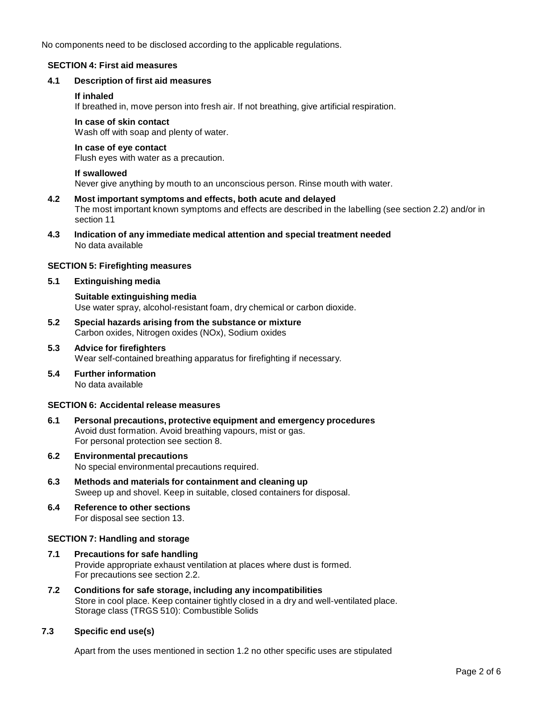No components need to be disclosed according to the applicable regulations.

# **SECTION 4: First aid measures**

# **4.1 Description of first aid measures**

# **If inhaled**

If breathed in, move person into fresh air. If not breathing, give artificial respiration.

# **In case of skin contact**

Wash off with soap and plenty of water.

# **In case of eye contact**

Flush eyes with water as a precaution.

#### **If swallowed**

Never give anything by mouth to an unconscious person. Rinse mouth with water.

- **4.2 Most important symptoms and effects, both acute and delayed** The most important known symptoms and effects are described in the labelling (see section 2.2) and/or in section 11
- **4.3 Indication of any immediate medical attention and special treatment needed** No data available

# **SECTION 5: Firefighting measures**

**5.1 Extinguishing media**

# **Suitable extinguishing media** Use water spray, alcohol-resistant foam, dry chemical or carbon dioxide.

- **5.2 Special hazards arising from the substance ormixture** Carbon oxides, Nitrogen oxides (NOx), Sodium oxides
- **5.3 Advice for firefighters** Wear self-contained breathing apparatus for firefighting if necessary.
- **5.4 Further information** No data available

# **SECTION 6: Accidental release measures**

- **6.1 Personal precautions, protective equipment and emergency procedures** Avoid dust formation. Avoid breathing vapours, mist or gas. For personal protection see section 8.
- **6.2 Environmental precautions** No special environmental precautions required.
- **6.3 Methods and materials for containment and cleaning up** Sweep up and shovel. Keep in suitable, closed containers for disposal.
- **6.4 Reference to other sections** For disposal see section 13.

# **SECTION 7: Handling and storage**

- **7.1 Precautions for safe handling** Provide appropriate exhaust ventilation at places where dust is formed. For precautions see section 2.2.
- **7.2 Conditions for safe storage, including any incompatibilities** Store in cool place. Keep container tightly closed in a dry and well-ventilated place. Storage class (TRGS 510): Combustible Solids

# **7.3 Specific end use(s)**

Apart from the uses mentioned in section 1.2 no other specific uses are stipulated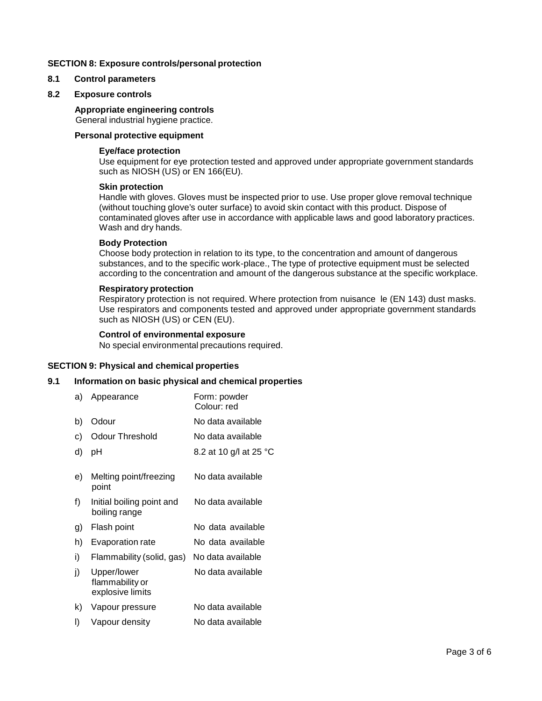#### **SECTION 8: Exposure controls/personal protection**

#### **8.1 Control parameters**

#### **8.2 Exposure controls**

#### **Appropriate engineering controls**

General industrial hygiene practice.

# **Personal protective equipment**

#### **Eye/face protection**

Use equipment for eye protection tested and approved under appropriate government standards such as NIOSH (US) or EN 166(EU).

#### **Skin protection**

Handle with gloves. Gloves must be inspected prior to use. Use proper glove removal technique (without touching glove's outer surface) to avoid skin contact with this product. Dispose of contaminated gloves after use in accordance with applicable laws and good laboratory practices. Wash and dry hands.

#### **Body Protection**

Choose body protection in relation to its type, to the concentration and amount of dangerous substances, and to the specific work-place., The type of protective equipment must be selected according to the concentration and amount of the dangerous substance at the specific workplace.

#### **Respiratory protection**

Respiratory protection is not required. Where protection from nuisance le (EN 143) dust masks. Use respirators and components tested and approved under appropriate government standards such as NIOSH (US) or CEN (EU).

# **Control of environmental exposure**

No special environmental precautions required.

#### **SECTION 9: Physical and chemical properties**

#### **9.1 Information on basic physical and chemical properties**

| a) | Appearance                                         | Form: powder<br>Colour: red |
|----|----------------------------------------------------|-----------------------------|
| b) | Odour                                              | No data available           |
| C) | <b>Odour Threshold</b>                             | No data available           |
| d) | рH                                                 | 8.2 at 10 g/l at 25 °C      |
| e) | Melting point/freezing<br>point                    | No data available           |
| f) | Initial boiling point and<br>boiling range         | No data available           |
| g) | Flash point                                        | No data available           |
| h) | Evaporation rate                                   | No data available           |
| i) | Flammability (solid, gas)                          | No data available           |
| j) | Upper/lower<br>flammability or<br>explosive limits | No data available           |
| k) | Vapour pressure                                    | No data available           |
| I) | Vapour density                                     | No data available           |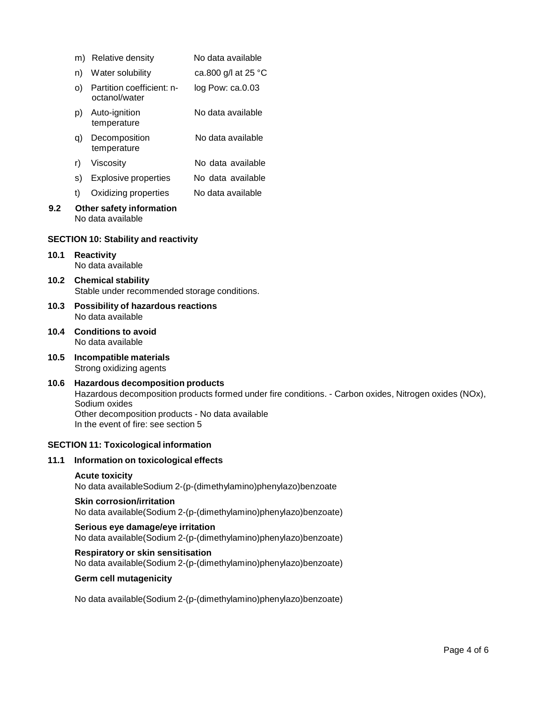|      |                                                                                                                                                                                                                                                               | m) Relative density                           | No data available                                                |  |
|------|---------------------------------------------------------------------------------------------------------------------------------------------------------------------------------------------------------------------------------------------------------------|-----------------------------------------------|------------------------------------------------------------------|--|
|      | n)                                                                                                                                                                                                                                                            | Water solubility                              | ca.800 g/l at 25 °C                                              |  |
|      | O)                                                                                                                                                                                                                                                            | Partition coefficient: n-<br>octanol/water    | log Pow: ca.0.03                                                 |  |
|      | p)                                                                                                                                                                                                                                                            | Auto-ignition<br>temperature                  | No data available                                                |  |
|      | q)                                                                                                                                                                                                                                                            | Decomposition<br>temperature                  | No data available                                                |  |
|      | r)                                                                                                                                                                                                                                                            | Viscosity                                     | No data available                                                |  |
|      | S)                                                                                                                                                                                                                                                            | <b>Explosive properties</b>                   | No data available                                                |  |
|      | t)                                                                                                                                                                                                                                                            | Oxidizing properties                          | No data available                                                |  |
| 9.2  |                                                                                                                                                                                                                                                               | Other safety information<br>No data available |                                                                  |  |
|      |                                                                                                                                                                                                                                                               | <b>SECTION 10: Stability and reactivity</b>   |                                                                  |  |
| 10.1 | <b>Reactivity</b><br>No data available                                                                                                                                                                                                                        |                                               |                                                                  |  |
| 10.2 | <b>Chemical stability</b><br>Stable under recommended storage conditions.                                                                                                                                                                                     |                                               |                                                                  |  |
| 10.3 | Possibility of hazardous reactions<br>No data available                                                                                                                                                                                                       |                                               |                                                                  |  |
| 10.4 | <b>Conditions to avoid</b><br>No data available                                                                                                                                                                                                               |                                               |                                                                  |  |
| 10.5 | Incompatible materials<br>Strong oxidizing agents                                                                                                                                                                                                             |                                               |                                                                  |  |
| 10.6 | <b>Hazardous decomposition products</b><br>Hazardous decomposition products formed under fire conditions. - Carbon oxides, Nitrogen oxides (NOx),<br>Sodium oxides<br>Other decomposition products - No data available<br>In the event of fire: see section 5 |                                               |                                                                  |  |
|      |                                                                                                                                                                                                                                                               | <b>SECTION 11: Toxicological information</b>  |                                                                  |  |
| 11.1 |                                                                                                                                                                                                                                                               | Information on toxicological effects          |                                                                  |  |
|      | <b>Acute toxicity</b><br>No data availableSodium 2-(p-(dimethylamino)phenylazo)benzoate                                                                                                                                                                       |                                               |                                                                  |  |
|      | <b>Skin corrosion/irritation</b><br>No data available(Sodium 2-(p-(dimethylamino)phenylazo)benzoate)                                                                                                                                                          |                                               |                                                                  |  |
|      | Serious eye damage/eye irritation<br>No data available(Sodium 2-(p-(dimethylamino)phenylazo)benzoate)                                                                                                                                                         |                                               |                                                                  |  |
|      |                                                                                                                                                                                                                                                               | Respiratory or skin sensitisation             | No data available(Sodium 2-(p-(dimethylamino)phenylazo)benzoate) |  |

# **Germ cell mutagenicity**

**10.1 Reactivity**

**10.2 Chemical stability**

**10.4 Conditions to avoid**

No data available(Sodium 2-(p-(dimethylamino)phenylazo)benzoate)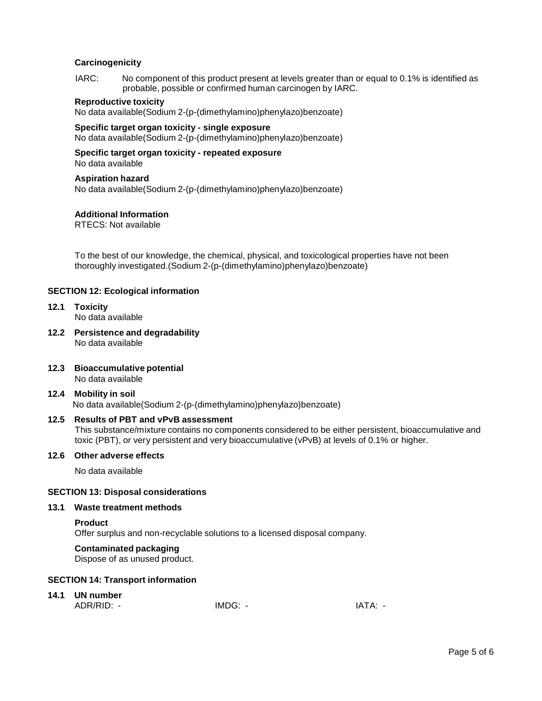# **Carcinogenicity**

IARC: No component of this product present at levels greater than or equal to 0.1% is identified as probable, possible or confirmed human carcinogen by IARC.

#### **Reproductive toxicity**

No data available(Sodium 2-(p-(dimethylamino)phenylazo)benzoate)

# **Specific target organ toxicity - single exposure**

No data available(Sodium 2-(p-(dimethylamino)phenylazo)benzoate)

# **Specific target organ toxicity - repeated exposure**

No data available

#### **Aspiration hazard**

No data available(Sodium 2-(p-(dimethylamino)phenylazo)benzoate)

#### **Additional Information**

RTECS: Not available

To the best of our knowledge, the chemical, physical, and toxicological properties have not been thoroughly investigated.(Sodium 2-(p-(dimethylamino)phenylazo)benzoate)

#### **SECTION 12: Ecological information**

- **12.1 Toxicity** No data available
- **12.2 Persistence and degradability** No data available
- **12.3 Bioaccumulative potential** No data available

# **12.4 Mobility in soil** No data available(Sodium 2-(p-(dimethylamino)phenylazo)benzoate)

#### **12.5 Results of PBT and vPvB assessment** This substance/mixture contains no components considered to be either persistent, bioaccumulative and toxic (PBT), or very persistent and very bioaccumulative (vPvB) at levels of 0.1% or higher.

#### **12.6 Other adverse effects**

No data available

# **SECTION 13: Disposal considerations**

#### **13.1 Waste treatment methods**

#### **Product**

Offer surplus and non-recyclable solutions to a licensed disposal company.

#### **Contaminated packaging**

Dispose of as unused product.

# **SECTION 14: Transport information**

#### **14.1 UN number**

| ADR/RID:<br>- | IMDG.<br>-<br>____ | Λ.<br>۰Δ<br>-<br>. |
|---------------|--------------------|--------------------|
|---------------|--------------------|--------------------|